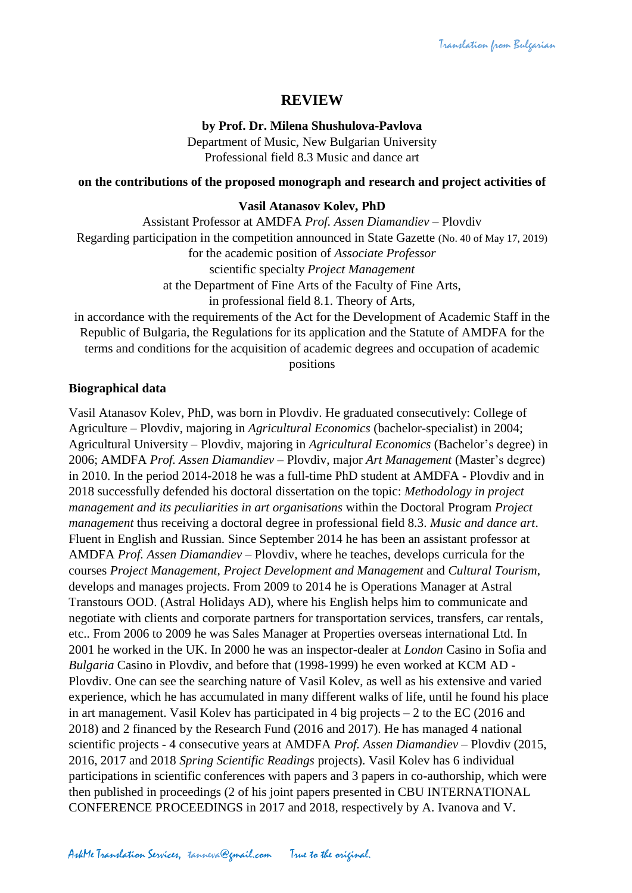# **REVIEW**

### **by Prof. Dr. Milena Shushulova-Pavlova**

Department of Music, New Bulgarian University Professional field 8.3 Music and dance art

#### **on the contributions of the proposed monograph and research and project activities of**

#### **Vasil Atanasov Kolev, PhD**

Assistant Professor at AMDFA *Prof. Assen Diamandiev* – Plovdiv Regarding participation in the competition announced in State Gazette (No. 40 of May 17, 2019) for the academic position of *Associate Professor* scientific specialty *Project Management* at the Department of Fine Arts of the Faculty of Fine Arts, in professional field 8.1. Theory of Arts, in accordance with the requirements of the Act for the Development of Academic Staff in the

Republic of Bulgaria, the Regulations for its application and the Statute of AMDFA for the terms and conditions for the acquisition of academic degrees and occupation of academic positions

### **Biographical data**

Vasil Atanasov Kolev, PhD, was born in Plovdiv. He graduated consecutively: College of Agriculture – Plovdiv, majoring in *Agricultural Economics* (bachelor-specialist) in 2004; Agricultural University – Plovdiv, majoring in *Agricultural Economics* (Bachelor's degree) in 2006; AMDFA *Prof. Assen Diamandiev* – Plovdiv, major *Art Management* (Master's degree) in 2010. In the period 2014-2018 he was a full-time PhD student at AMDFA - Plovdiv and in 2018 successfully defended his doctoral dissertation on the topic: *Methodology in project management and its peculiarities in art organisations* within the Doctoral Program *Project management* thus receiving a doctoral degree in professional field 8.3. *Music and dance art*. Fluent in English and Russian. Since September 2014 he has been an assistant professor at AMDFA *Prof. Assen Diamandiev* – Plovdiv, where he teaches, develops curricula for the courses *Project Management, Project Development and Management* and *Cultural Tourism*, develops and manages projects. From 2009 to 2014 he is Operations Manager at Astral Transtours OOD. (Astral Holidays AD), where his English helps him to communicate and negotiate with clients and corporate partners for transportation services, transfers, car rentals, etc.. From 2006 to 2009 he was Sales Manager at Properties overseas international Ltd. In 2001 he worked in the UK. In 2000 he was an inspector-dealer at *London* Casino in Sofia and *Bulgaria* Casino in Plovdiv, and before that (1998-1999) he even worked at KCM AD - Plovdiv. One can see the searching nature of Vasil Kolev, as well as his extensive and varied experience, which he has accumulated in many different walks of life, until he found his place in art management. Vasil Kolev has participated in 4 big projects – 2 to the EC (2016 and 2018) and 2 financed by the Research Fund (2016 and 2017). He has managed 4 national scientific projects - 4 consecutive years at AMDFA *Prof. Assen Diamandiev* – Plovdiv (2015, 2016, 2017 and 2018 *Spring Scientific Readings* projects). Vasil Kolev has 6 individual participations in scientific conferences with papers and 3 papers in co-authorship, which were then published in proceedings (2 of his joint papers presented in CBU INTERNATIONAL CONFERENCE PROCEEDINGS in 2017 and 2018, respectively by A. Ivanova and V.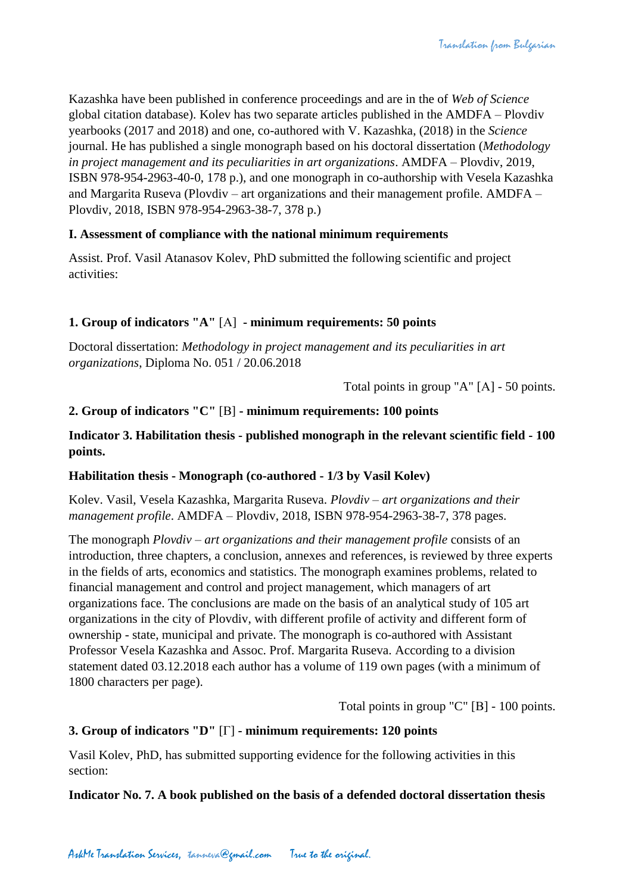Kazashka have been published in conference proceedings and are in the of *Web of Science* global citation database). Kolev has two separate articles published in the AMDFA – Plovdiv yearbooks (2017 and 2018) and one, co-authored with V. Kazashka, (2018) in the *Science* journal. He has published a single monograph based on his doctoral dissertation (*Methodology in project management and its peculiarities in art organizations*. AMDFA – Plovdiv, 2019, ISBN 978-954-2963-40-0, 178 p.), and one monograph in co-authorship with Vesela Kazashka and Margarita Ruseva (Plovdiv – art organizations and their management profile. AMDFA – Plovdiv, 2018, ISBN 978-954-2963-38-7, 378 p.)

## **I. Assessment of compliance with the national minimum requirements**

Assist. Prof. Vasil Atanasov Kolev, PhD submitted the following scientific and project activities:

## **1. Group of indicators "A"** [А] **- minimum requirements: 50 points**

Doctoral dissertation: *Methodology in project management and its peculiarities in art organizations*, Diploma No. 051 / 20.06.2018

Total points in group "A" [А] - 50 points.

## **2. Group of indicators "C"** [В] **- minimum requirements: 100 points**

### **Indicator 3. Habilitation thesis - published monograph in the relevant scientific field - 100 points.**

### **Habilitation thesis - Monograph (co-authored - 1/3 by Vasil Kolev)**

Kolev. Vasil, Vesela Kazashka, Margarita Ruseva. *Plovdiv – art organizations and their management profile*. AMDFA – Plovdiv, 2018, ISBN 978-954-2963-38-7, 378 pages.

The monograph *Plovdiv – art organizations and their management profile* consists of an introduction, three chapters, a conclusion, annexes and references, is reviewed by three experts in the fields of arts, economics and statistics. The monograph examines problems, related to financial management and control and project management, which managers of art organizations face. The conclusions are made on the basis of an analytical study of 105 art organizations in the city of Plovdiv, with different profile of activity and different form of ownership - state, municipal and private. The monograph is co-authored with Assistant Professor Vesela Kazashka and Assoc. Prof. Margarita Ruseva. According to a division statement dated 03.12.2018 each author has a volume of 119 own pages (with a minimum of 1800 characters per page).

Total points in group "C" [В] - 100 points.

### **3. Group of indicators "D"** [Г] **- minimum requirements: 120 points**

Vasil Kolev, PhD, has submitted supporting evidence for the following activities in this section:

**Indicator No. 7. A book published on the basis of a defended doctoral dissertation thesis**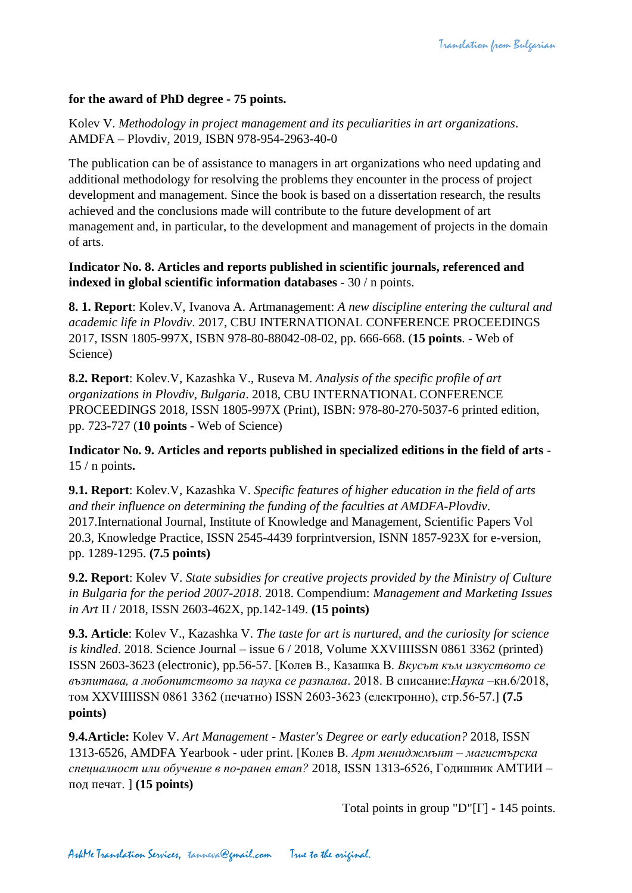### **for the award of PhD degree - 75 points.**

Kolev V. *Methodology in project management and its peculiarities in art organizations*. AMDFA – Plovdiv, 2019, ISBN 978-954-2963-40-0

The publication can be of assistance to managers in art organizations who need updating and additional methodology for resolving the problems they encounter in the process of project development and management. Since the book is based on a dissertation research, the results achieved and the conclusions made will contribute to the future development of art management and, in particular, to the development and management of projects in the domain of arts.

**Indicator No. 8. Articles and reports published in scientific journals, referenced and indexed in global scientific information databases** - 30 / n points.

**8. 1. Report**: Kolev.V, Ivanova A. Artmanagement: *A new discipline entering the cultural and academic life in Plovdiv*. 2017, CBU INTERNATIONAL CONFERENCE PROCEEDINGS 2017, ISSN 1805-997X, ISBN 978-80-88042-08-02, pp. 666-668. (**15 points**. - Web of Science)

**8.2. Report**: Kolev.V, Kazashka V., Ruseva M. *Analysis of the specific profile of art organizations in Plovdiv, Bulgaria*. 2018, CBU INTERNATIONAL CONFERENCE PROCEEDINGS 2018, ISSN 1805-997X (Print), ISBN: 978-80-270-5037-6 printed edition, pp. 723-727 (**10 points** - Web of Science)

**Indicator No. 9. Articles and reports published in specialized editions in the field of arts** - 15 / n points**.**

**9.1. Report**: Kolev.V, Kazashka V. *Specific features of higher education in the field of arts and their influence on determining the funding of the faculties at AMDFA-Plovdiv*. 2017.International Journal, Institute of Knowledge and Management, Scientific Papers Vol 20.3, Knowledge Practice, ISSN 2545-4439 forprintversion, ISNN 1857-923X for e-version, pp. 1289-1295. **(7.5 points)**

**9.2. Report**: Kolev V. *State subsidies for creative projects provided by the Ministry of Culture in Bulgaria for the period 2007-2018*. 2018. Compendium: *Management and Marketing Issues in Art* II / 2018, ISSN 2603-462X, pp.142-149. **(15 points)**

**9.3. Article**: Kolev V., Kazashka V. *The taste for art is nurtured, and the curiosity for science is kindled*. 2018. Science Journal – issue 6 / 2018, Volume XXVIIIISSN 0861 3362 (printed) ISSN 2603-3623 (electronic), pp.56-57. [Колев В., Казашка В. *Вкусът към изкуството се възпитава, а любопитството за наука се разпалва*. 2018. В списание:*Наука* –кн.6/2018, том XXVIIIISSN 0861 3362 (печатно) ISSN 2603-3623 (електронно), стр.56-57.] **(7.5 points)**

**9.4.Article:** Kolev V. *Art Management - Master's Degree or early education?* 2018, ISSN 1313-6526, AMDFA Yearbook - uder print. [Колев В. *Арт мениджмънт – магистърска специалност или обучение в по-ранен етап?* 2018, ISSN 1313-6526, Годишник АМТИИ – под печат. ] **(15 points)**

Total points in group "D" $[\Gamma]$  - 145 points.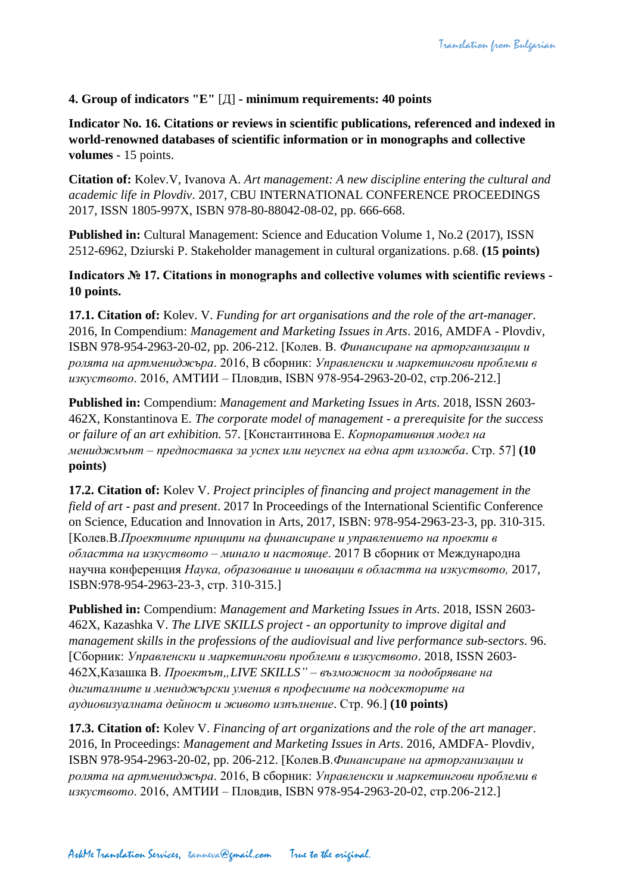## **4. Group of indicators "E"** [Д] **- minimum requirements: 40 points**

**Indicator No. 16. Citations or reviews in scientific publications, referenced and indexed in world-renowned databases of scientific information or in monographs and collective volumes** - 15 points.

**Citation of:** Kolev.V, Ivanova A. *Art management: A new discipline entering the cultural and academic life in Plovdiv*. 2017, CBU INTERNATIONAL CONFERENCE PROCEEDINGS 2017, ISSN 1805-997X, ISBN 978-80-88042-08-02, pp. 666-668.

**Published in:** Cultural Management: Science and Education Volume 1, No.2 (2017), ISSN 2512-6962, Dziurski P. Stakeholder management in cultural organizations. p.68. **(15 points)**

**Indicators № 17. Citations in monographs and collective volumes with scientific reviews - 10 points.**

**17.1. Citation of:** Kolev. V. *Funding for art organisations and the role of the art-manager*. 2016, In Compendium: *Management and Marketing Issues in Arts*. 2016, AMDFA - Plovdiv, ISBN 978-954-2963-20-02, pp. 206-212. [Колев. В. *Финансиране на арторганизации и ролята на артмениджъра*. 2016, В сборник: *Управленски и маркетингови проблеми в изкуството*. 2016, АМТИИ – Пловдив, ISВN 978-954-2963-20-02, стр.206-212.]

**Published in:** Compendium: *Management and Marketing Issues in Arts*. 2018, ISSN 2603- 462X, Konstantinova E. *The corporate model of management - a prerequisite for the success or failure of an art exhibition.* 57. [Константинова Е. *Корпоративния модел на мениджмънт – предпоставка за успех или неуспех на една арт изложба*. Стр. 57] **(10 points)**

**17.2. Citation of:** Kolev V. *Project principles of financing and project management in the field of art - past and present*. 2017 In Proceedings of the International Scientific Conference on Science, Education and Innovation in Arts, 2017, ISBN: 978-954-2963-23-3, pp. 310-315. [Колев.В.*Проектните принципи на финансиране и управлението на проекти в областта на изкуството – минало и настояще*. 2017 В сборник от Международна научна конференция *Наука, образование и иновации в областта на изкуството,* 2017, ISBN:978-954-2963-23-3, стр. 310-315.]

**Published in:** Compendium: *Management and Marketing Issues in Arts*. 2018, ISSN 2603- 462X, Kazashka V. *The LIVE SKILLS project - an opportunity to improve digital and management skills in the professions of the audiovisual and live performance sub-sectors*. 96. [Сборник: *Управленски и маркетингови проблеми в изкуството*. 2018, ISSN 2603- 462X, Казашка В. *Проектът*,, LIVE SKILLS" – възможност за подобряване на *дигиталните и мениджърски умения в професиите на подсекторите на аудиовизуалната дейност и живото изпълнение*. Стр. 96.] **(10 points)**

**17.3. Citation of:** Kolev V. *Financing of art organizations and the role of the art manager*. 2016, In Proceedings: *Management and Marketing Issues in Arts*. 2016, AMDFA- Plovdiv, ISBN 978-954-2963-20-02, pp. 206-212. [Колев.В.*Финансиране на арторганизации и ролята на артмениджъра*. 2016, В сборник: *Управленски и маркетингови проблеми в изкуството*. 2016, АМТИИ – Пловдив, ISВN 978-954-2963-20-02, стр.206-212.]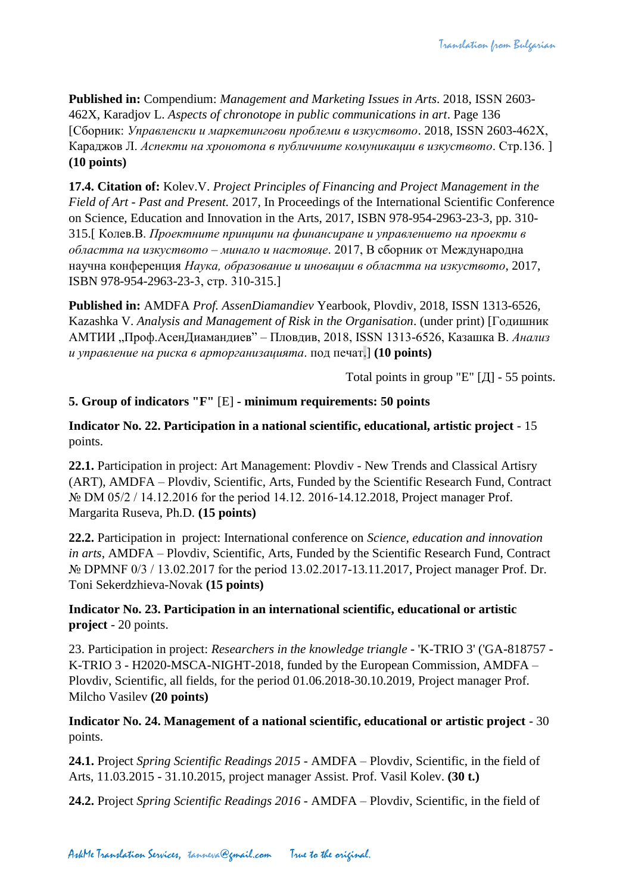**Published in:** Compendium: *Management and Marketing Issues in Arts*. 2018, ISSN 2603- 462X, Karadjov L. *Aspects of chronotope in public communications in art*. Page 136 [Сборник: *Управленски и маркетингови проблеми в изкуството*. 2018, ISSN 2603-462Х, Караджов Л. *Аспекти на хронотопа в публичните комуникации в изкуството*. Стр.136. ] **(10 points)**

**17.4. Citation of:** Kolev.V. *Project Principles of Financing and Project Management in the Field of Art - Past and Present.* 2017, In Proceedings of the International Scientific Conference on Science, Education and Innovation in the Arts, 2017, ISBN 978-954-2963-23-3, pp. 310- 315.[ Колев.В. *Проектните принципи на финансиране и управлението на проекти в областта на изкуството – минало и настояще*. 2017, В сборник от Международна научна конференция *Наука, образование и иновации в областта на изкуството*, 2017, ISBN 978-954-2963-23-3, стр. 310-315.]

**Published in:** AMDFA *Prof. AssenDiamandiev* Yearbook, Plovdiv, 2018, ISSN 1313-6526, Kazashka V. *Analysis and Management of Risk in the Organisation*. (under print) [Годишник АМТИИ "Проф.АсенДиамандиев" – Пловдив, 2018, ISSN 1313-6526, Казашка В. *Анализ и управление на риска в арторганизацията*. под печат.] **(10 points)**

Total points in group "E" [Д] - 55 points.

# **5. Group of indicators "F"** [E] **- minimum requirements: 50 points**

**Indicator No. 22. Participation in a national scientific, educational, artistic project** - 15 points.

**22.1.** Participation in project: Art Management: Plovdiv - New Trends and Classical Artisry (ART), AMDFA – Plovdiv, Scientific, Arts, Funded by the Scientific Research Fund, Contract № DM 05/2 / 14.12.2016 for the period 14.12. 2016-14.12.2018, Project manager Prof. Margarita Ruseva, Ph.D. **(15 points)**

**22.2.** Participation in project: International conference on *Science, education and innovation in arts*, AMDFA – Plovdiv, Scientific, Arts, Funded by the Scientific Research Fund, Contract № DPMNF 0/3 / 13.02.2017 for the period 13.02.2017-13.11.2017, Project manager Prof. Dr. Toni Sekerdzhieva-Novak **(15 points)**

**Indicator No. 23. Participation in an international scientific, educational or artistic project** - 20 points.

23. Participation in project: *Researchers in the knowledge triangle* - 'K-TRIO 3' ('GA-818757 - K-TRIO 3 - H2020-MSCA-NIGHT-2018, funded by the European Commission, AMDFA – Plovdiv, Scientific, all fields, for the period 01.06.2018-30.10.2019, Project manager Prof. Milcho Vasilev **(20 points)**

**Indicator No. 24. Management of a national scientific, educational or artistic project** - 30 points.

**24.1.** Project *Spring Scientific Readings 2015* - AMDFA – Plovdiv, Scientific, in the field of Arts, 11.03.2015 - 31.10.2015, project manager Assist. Prof. Vasil Kolev. **(30 t.)**

**24.2.** Project *Spring Scientific Readings 2016* - AMDFA – Plovdiv, Scientific, in the field of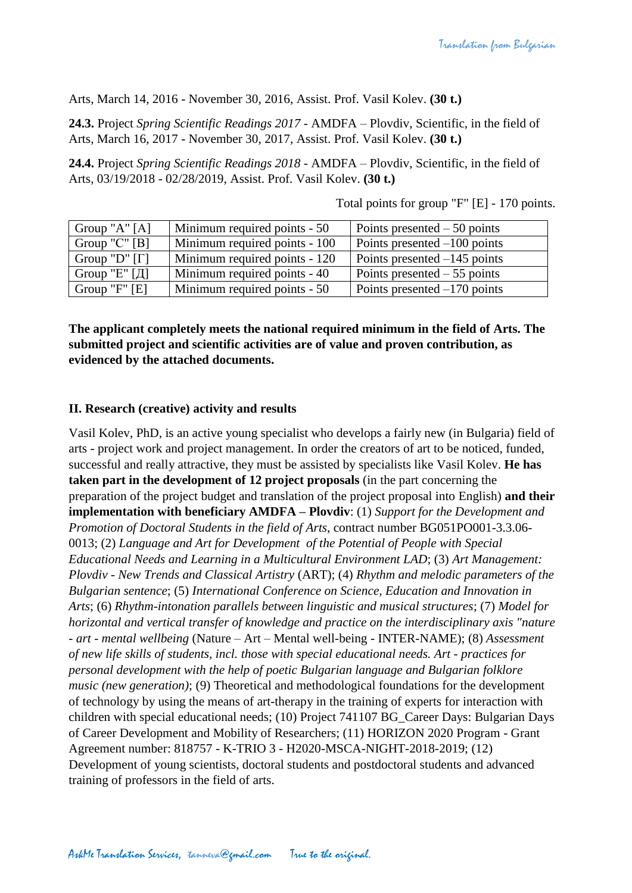Arts, March 14, 2016 - November 30, 2016, Assist. Prof. Vasil Kolev. **(30 t.)**

**24.3.** Project *Spring Scientific Readings 2017* - AMDFA – Plovdiv, Scientific, in the field of Arts, March 16, 2017 - November 30, 2017, Assist. Prof. Vasil Kolev. **(30 t.)**

**24.4.** Project *Spring Scientific Readings 2018* - AMDFA – Plovdiv, Scientific, in the field of Arts, 03/19/2018 - 02/28/2019, Assist. Prof. Vasil Kolev. **(30 t.)**

| Group "A" $[A]$      | Minimum required points - 50  | Points presented $-50$ points  |
|----------------------|-------------------------------|--------------------------------|
| Group " $C$ " [B]    | Minimum required points - 100 | Points presented $-100$ points |
| Group "D" $[\Gamma]$ | Minimum required points - 120 | Points presented $-145$ points |
| Group "Е" $[\Pi]$    | Minimum required points - 40  | Points presented $-55$ points  |
| Group " $F$ " [E]    | Minimum required points - 50  | Points presented $-170$ points |

Total points for group "F" [E] - 170 points.

**The applicant completely meets the national required minimum in the field of Arts. The submitted project and scientific activities are of value and proven contribution, as evidenced by the attached documents.**

### **II. Research (creative) activity and results**

Vasil Kolev, PhD, is an active young specialist who develops a fairly new (in Bulgaria) field of arts - project work and project management. In order the creators of art to be noticed, funded, successful and really attractive, they must be assisted by specialists like Vasil Kolev. **He has taken part in the development of 12 project proposals** (in the part concerning the preparation of the project budget and translation of the project proposal into English) **and their implementation with beneficiary AMDFA – Plovdiv**: (1) *Support for the Development and Promotion of Doctoral Students in the field of Arts*, contract number BG051PO001-3.3.06- 0013; (2) *Language and Art for Development of the Potential of People with Special Educational Needs and Learning in a Multicultural Environment LAD*; (3) *Art Management: Plovdiv - New Trends and Classical Artistry* (ART); (4) *Rhythm and melodic parameters of the Bulgarian sentence*; (5) *International Conference on Science, Education and Innovation in Arts*; (6) *Rhythm-intonation parallels between linguistic and musical structures*; (7) *Model for horizontal and vertical transfer of knowledge and practice on the interdisciplinary axis "nature - art - mental wellbeing* (Nature – Art – Mental well-being - INTER-NAME); (8) *Assessment of new life skills of students, incl. those with special educational needs. Art - practices for personal development with the help of poetic Bulgarian language and Bulgarian folklore music (new generation)*; (9) Theoretical and methodological foundations for the development of technology by using the means of art-therapy in the training of experts for interaction with children with special educational needs; (10) Project 741107 BG\_Career Days: Bulgarian Days of Career Development and Mobility of Researchers; (11) HORIZON 2020 Program - Grant Agreement number: 818757 - K-TRIO 3 - H2020-MSCA-NIGHT-2018-2019; (12) Development of young scientists, doctoral students and postdoctoral students and advanced training of professors in the field of arts.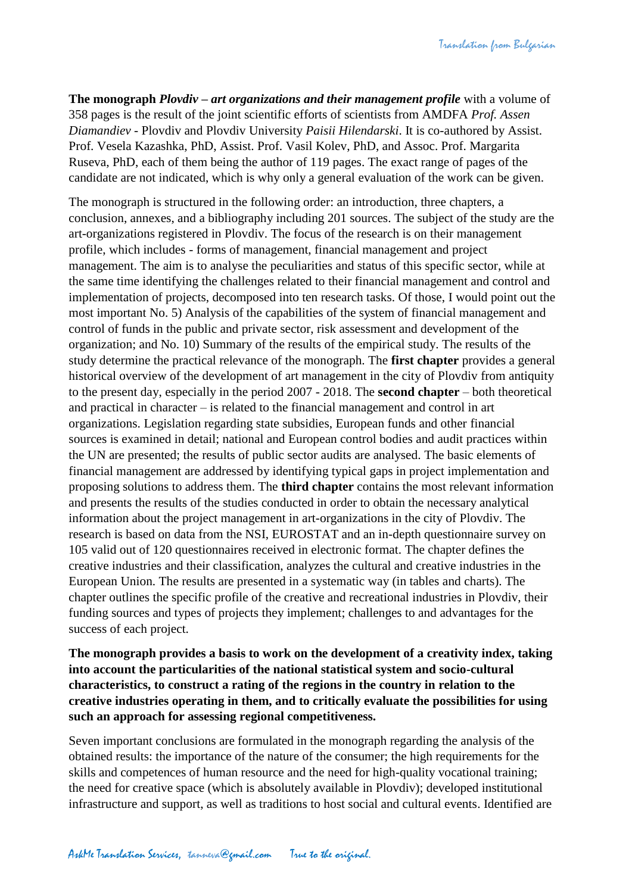**The monograph** *Plovdiv – art organizations and their management profile* with a volume of 358 pages is the result of the joint scientific efforts of scientists from AMDFA *Prof. Assen Diamandiev* - Plovdiv and Plovdiv University *Paisii Hilendarski*. It is co-authored by Assist. Prof. Vesela Kazashka, PhD, Assist. Prof. Vasil Kolev, PhD, and Assoc. Prof. Margarita Ruseva, PhD, each of them being the author of 119 pages. The exact range of pages of the candidate are not indicated, which is why only a general evaluation of the work can be given.

The monograph is structured in the following order: an introduction, three chapters, a conclusion, annexes, and a bibliography including 201 sources. The subject of the study are the art-organizations registered in Plovdiv. The focus of the research is on their management profile, which includes - forms of management, financial management and project management. The aim is to analyse the peculiarities and status of this specific sector, while at the same time identifying the challenges related to their financial management and control and implementation of projects, decomposed into ten research tasks. Of those, I would point out the most important No. 5) Analysis of the capabilities of the system of financial management and control of funds in the public and private sector, risk assessment and development of the organization; and No. 10) Summary of the results of the empirical study. The results of the study determine the practical relevance of the monograph. The **first chapter** provides a general historical overview of the development of art management in the city of Plovdiv from antiquity to the present day, especially in the period 2007 - 2018. The **second chapter** – both theoretical and practical in character – is related to the financial management and control in art organizations. Legislation regarding state subsidies, European funds and other financial sources is examined in detail; national and European control bodies and audit practices within the UN are presented; the results of public sector audits are analysed. The basic elements of financial management are addressed by identifying typical gaps in project implementation and proposing solutions to address them. The **third chapter** contains the most relevant information and presents the results of the studies conducted in order to obtain the necessary analytical information about the project management in art-organizations in the city of Plovdiv. The research is based on data from the NSI, EUROSTAT and an in-depth questionnaire survey on 105 valid out of 120 questionnaires received in electronic format. The chapter defines the creative industries and their classification, analyzes the cultural and creative industries in the European Union. The results are presented in a systematic way (in tables and charts). The chapter outlines the specific profile of the creative and recreational industries in Plovdiv, their funding sources and types of projects they implement; challenges to and advantages for the success of each project.

## **The monograph provides a basis to work on the development of a creativity index, taking into account the particularities of the national statistical system and socio-cultural characteristics, to construct a rating of the regions in the country in relation to the creative industries operating in them, and to critically evaluate the possibilities for using such an approach for assessing regional competitiveness.**

Seven important conclusions are formulated in the monograph regarding the analysis of the obtained results: the importance of the nature of the consumer; the high requirements for the skills and competences of human resource and the need for high-quality vocational training; the need for creative space (which is absolutely available in Plovdiv); developed institutional infrastructure and support, as well as traditions to host social and cultural events. Identified are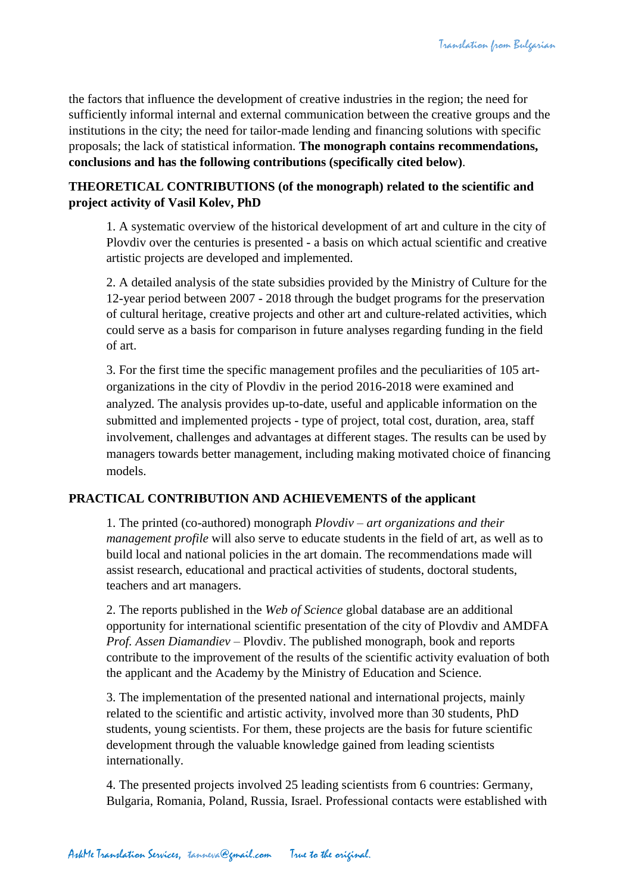the factors that influence the development of creative industries in the region; the need for sufficiently informal internal and external communication between the creative groups and the institutions in the city; the need for tailor-made lending and financing solutions with specific proposals; the lack of statistical information. **The monograph contains recommendations, conclusions and has the following contributions (specifically cited below)**.

## **THEORETICAL CONTRIBUTIONS (of the monograph) related to the scientific and project activity of Vasil Kolev, PhD**

1. A systematic overview of the historical development of art and culture in the city of Plovdiv over the centuries is presented - a basis on which actual scientific and creative artistic projects are developed and implemented.

2. A detailed analysis of the state subsidies provided by the Ministry of Culture for the 12-year period between 2007 - 2018 through the budget programs for the preservation of cultural heritage, creative projects and other art and culture-related activities, which could serve as a basis for comparison in future analyses regarding funding in the field of art.

3. For the first time the specific management profiles and the peculiarities of 105 artorganizations in the city of Plovdiv in the period 2016-2018 were examined and analyzed. The analysis provides up-to-date, useful and applicable information on the submitted and implemented projects - type of project, total cost, duration, area, staff involvement, challenges and advantages at different stages. The results can be used by managers towards better management, including making motivated choice of financing models.

### **PRACTICAL CONTRIBUTION AND ACHIEVEMENTS of the applicant**

1. The printed (co-authored) monograph *Plovdiv – art organizations and their management profile* will also serve to educate students in the field of art, as well as to build local and national policies in the art domain. The recommendations made will assist research, educational and practical activities of students, doctoral students, teachers and art managers.

2. The reports published in the *Web of Science* global database are an additional opportunity for international scientific presentation of the city of Plovdiv and AMDFA *Prof. Assen Diamandiev* – Plovdiv. The published monograph, book and reports contribute to the improvement of the results of the scientific activity evaluation of both the applicant and the Academy by the Ministry of Education and Science.

3. The implementation of the presented national and international projects, mainly related to the scientific and artistic activity, involved more than 30 students, PhD students, young scientists. For them, these projects are the basis for future scientific development through the valuable knowledge gained from leading scientists internationally.

4. The presented projects involved 25 leading scientists from 6 countries: Germany, Bulgaria, Romania, Poland, Russia, Israel. Professional contacts were established with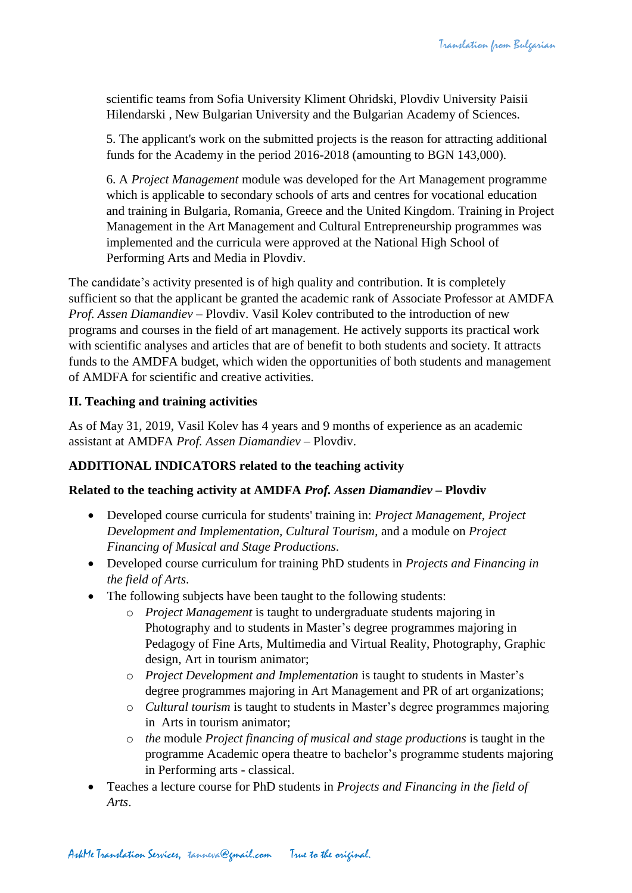scientific teams from Sofia University Kliment Ohridski, Plovdiv University Paisii Hilendarski , New Bulgarian University and the Bulgarian Academy of Sciences.

5. The applicant's work on the submitted projects is the reason for attracting additional funds for the Academy in the period 2016-2018 (amounting to BGN 143,000).

6. A *Project Management* module was developed for the Art Management programme which is applicable to secondary schools of arts and centres for vocational education and training in Bulgaria, Romania, Greece and the United Kingdom. Training in Project Management in the Art Management and Cultural Entrepreneurship programmes was implemented and the curricula were approved at the National High School of Performing Arts and Media in Plovdiv.

The candidate's activity presented is of high quality and contribution. It is completely sufficient so that the applicant be granted the academic rank of Associate Professor at AMDFA *Prof. Assen Diamandiev* – Plovdiv. Vasil Kolev contributed to the introduction of new programs and courses in the field of art management. He actively supports its practical work with scientific analyses and articles that are of benefit to both students and society. It attracts funds to the AMDFA budget, which widen the opportunities of both students and management of AMDFA for scientific and creative activities.

## **II. Teaching and training activities**

As of May 31, 2019, Vasil Kolev has 4 years and 9 months of experience as an academic assistant at AMDFA *Prof. Assen Diamandiev* – Plovdiv.

### **ADDITIONAL INDICATORS related to the teaching activity**

### **Related to the teaching activity at AMDFA** *Prof. Assen Diamandiev* **– Plovdiv**

- Developed course curricula for students' training in: *Project Management, Project Development and Implementation, Cultural Tourism*, and a module on *Project Financing of Musical and Stage Productions*.
- Developed course curriculum for training PhD students in *Projects and Financing in the field of Arts*.
- The following subjects have been taught to the following students:
	- o *Project Management* is taught to undergraduate students majoring in Photography and to students in Master's degree programmes majoring in Pedagogy of Fine Arts, Multimedia and Virtual Reality, Photography, Graphic design, Art in tourism animator;
	- o *Project Development and Implementation* is taught to students in Master's degree programmes majoring in Art Management and PR of art organizations;
	- o *Cultural tourism* is taught to students in Master's degree programmes majoring in Arts in tourism animator;
	- o *the* module *Project financing of musical and stage productions* is taught in the programme Academic opera theatre to bachelor's programme students majoring in Performing arts - classical.
- Teaches a lecture course for PhD students in *Projects and Financing in the field of Arts*.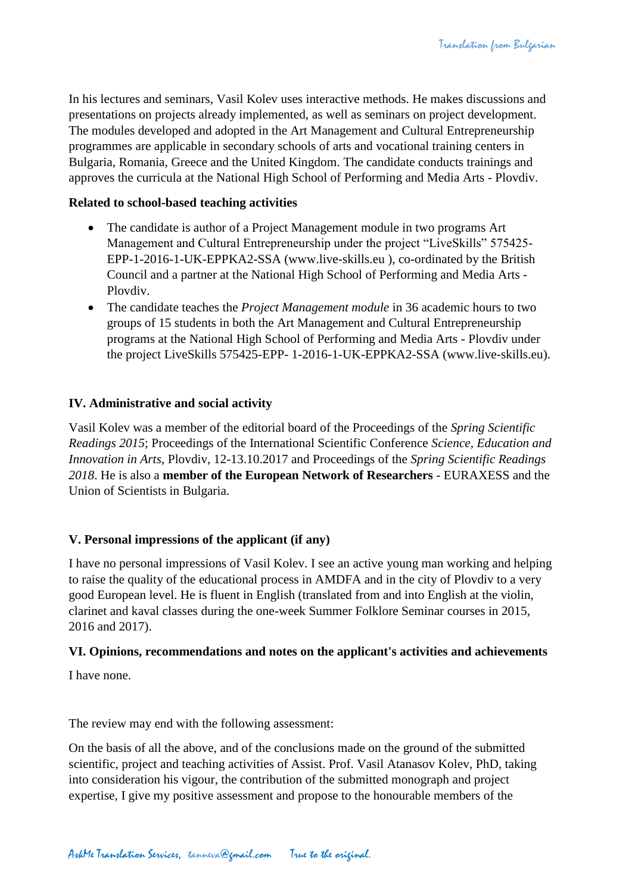In his lectures and seminars, Vasil Kolev uses interactive methods. He makes discussions and presentations on projects already implemented, as well as seminars on project development. The modules developed and adopted in the Art Management and Cultural Entrepreneurship programmes are applicable in secondary schools of arts and vocational training centers in Bulgaria, Romania, Greece and the United Kingdom. The candidate conducts trainings and approves the curricula at the National High School of Performing and Media Arts - Plovdiv.

### **Related to school-based teaching activities**

- The candidate is author of a Project Management module in two programs Art Management and Cultural Entrepreneurship under the project "LiveSkills" 575425- EPP-1-2016-1-UK-EPPKA2-SSA (www.live-skills.eu ), co-ordinated by the British Council and a partner at the National High School of Performing and Media Arts - Plovdiv.
- The candidate teaches the *Project Management module* in 36 academic hours to two groups of 15 students in both the Art Management and Cultural Entrepreneurship programs at the National High School of Performing and Media Arts - Plovdiv under the project LiveSkills 575425-EPP- 1-2016-1-UK-EPPKA2-SSA (www.live-skills.eu).

## **IV. Administrative and social activity**

Vasil Kolev was a member of the editorial board of the Proceedings of the *Spring Scientific Readings 2015*; Proceedings of the International Scientific Conference *Science, Education and Innovation in Arts*, Plovdiv, 12-13.10.2017 and Proceedings of the *Spring Scientific Readings 2018*. He is also a **member of the European Network of Researchers** - EURAXESS and the Union of Scientists in Bulgaria.

## **V. Personal impressions of the applicant (if any)**

I have no personal impressions of Vasil Kolev. I see an active young man working and helping to raise the quality of the educational process in AMDFA and in the city of Plovdiv to a very good European level. He is fluent in English (translated from and into English at the violin, clarinet and kaval classes during the one-week Summer Folklore Seminar courses in 2015, 2016 and 2017).

### **VI. Opinions, recommendations and notes on the applicant's activities and achievements**

I have none.

The review may end with the following assessment:

On the basis of all the above, and of the conclusions made on the ground of the submitted scientific, project and teaching activities of Assist. Prof. Vasil Atanasov Kolev, PhD, taking into consideration his vigour, the contribution of the submitted monograph and project expertise, I give my positive assessment and propose to the honourable members of the